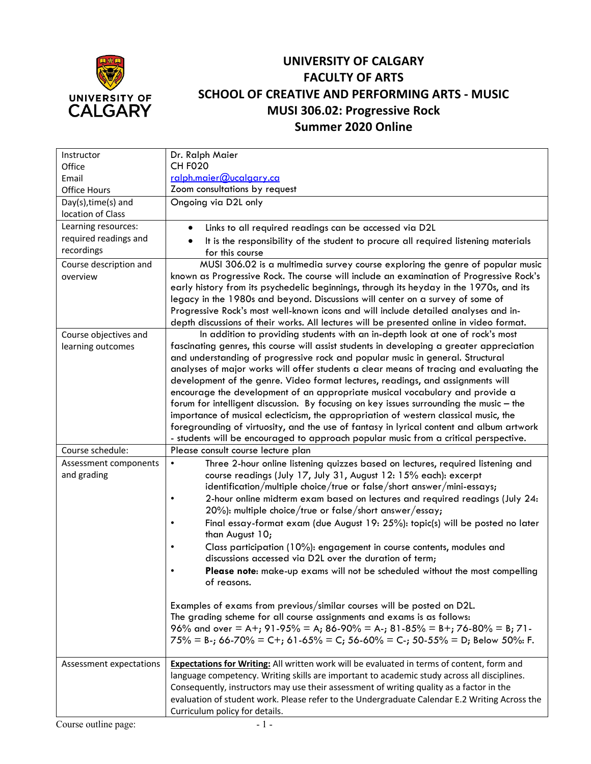

## **UNIVERSITY OF CALGARY FACULTY OF ARTS SCHOOL OF CREATIVE AND PERFORMING ARTS - MUSIC MUSI 306.02: Progressive Rock Summer 2020 Online**

| Instructor              | Dr. Ralph Maier                                                                                                                                                       |
|-------------------------|-----------------------------------------------------------------------------------------------------------------------------------------------------------------------|
| Office                  | <b>CH F020</b>                                                                                                                                                        |
| Email                   | ralph.maier@ucalgary.ca                                                                                                                                               |
| Office Hours            | Zoom consultations by request                                                                                                                                         |
| Day(s), time(s) and     | Ongoing via D2L only                                                                                                                                                  |
| location of Class       |                                                                                                                                                                       |
| Learning resources:     | Links to all required readings can be accessed via D2L                                                                                                                |
| required readings and   | It is the responsibility of the student to procure all required listening materials                                                                                   |
| recordings              | for this course                                                                                                                                                       |
| Course description and  | MUSI 306.02 is a multimedia survey course exploring the genre of popular music                                                                                        |
| overview                | known as Progressive Rock. The course will include an examination of Progressive Rock's                                                                               |
|                         | early history from its psychedelic beginnings, through its heyday in the 1970s, and its                                                                               |
|                         | legacy in the 1980s and beyond. Discussions will center on a survey of some of<br>Progressive Rock's most well-known icons and will include detailed analyses and in- |
|                         | depth discussions of their works. All lectures will be presented online in video format.                                                                              |
| Course objectives and   | In addition to providing students with an in-depth look at one of rock's most                                                                                         |
| learning outcomes       | fascinating genres, this course will assist students in developing a greater appreciation                                                                             |
|                         | and understanding of progressive rock and popular music in general. Structural                                                                                        |
|                         | analyses of major works will offer students a clear means of tracing and evaluating the                                                                               |
|                         | development of the genre. Video format lectures, readings, and assignments will                                                                                       |
|                         | encourage the development of an appropriate musical vocabulary and provide a                                                                                          |
|                         | forum for intelligent discussion. By focusing on key issues surrounding the music - the                                                                               |
|                         | importance of musical eclecticism, the appropriation of western classical music, the                                                                                  |
|                         | foregrounding of virtuosity, and the use of fantasy in lyrical content and album artwork                                                                              |
| Course schedule:        | - students will be encouraged to approach popular music from a critical perspective.<br>Please consult course lecture plan                                            |
| Assessment components   | Three 2-hour online listening quizzes based on lectures, required listening and<br>$\bullet$                                                                          |
| and grading             | course readings (July 17, July 31, August 12: 15% each): excerpt                                                                                                      |
|                         | identification/multiple choice/true or false/short answer/mini-essays;                                                                                                |
|                         | 2-hour online midterm exam based on lectures and required readings (July 24:<br>٠                                                                                     |
|                         | 20%): multiple choice/true or false/short answer/essay;                                                                                                               |
|                         | Final essay-format exam (due August 19: 25%): topic(s) will be posted no later                                                                                        |
|                         | than August 10;                                                                                                                                                       |
|                         | Class participation (10%): engagement in course contents, modules and                                                                                                 |
|                         | discussions accessed via D2L over the duration of term;                                                                                                               |
|                         | Please note: make-up exams will not be scheduled without the most compelling<br>$\bullet$                                                                             |
|                         | of reasons.                                                                                                                                                           |
|                         | Examples of exams from previous/similar courses will be posted on D2L.                                                                                                |
|                         | The grading scheme for all course assignments and exams is as follows:                                                                                                |
|                         | 96% and over = A+; 91-95% = A; 86-90% = A-; 81-85% = B+; 76-80% = B; 71-                                                                                              |
|                         | $75\%$ = B-; 66-70% = C+; 61-65% = C; 56-60% = C-; 50-55% = D; Below 50%: F.                                                                                          |
|                         |                                                                                                                                                                       |
| Assessment expectations | Expectations for Writing: All written work will be evaluated in terms of content, form and                                                                            |
|                         | language competency. Writing skills are important to academic study across all disciplines.                                                                           |
|                         | Consequently, instructors may use their assessment of writing quality as a factor in the                                                                              |
|                         | evaluation of student work. Please refer to the Undergraduate Calendar E.2 Writing Across the                                                                         |
|                         | Curriculum policy for details.                                                                                                                                        |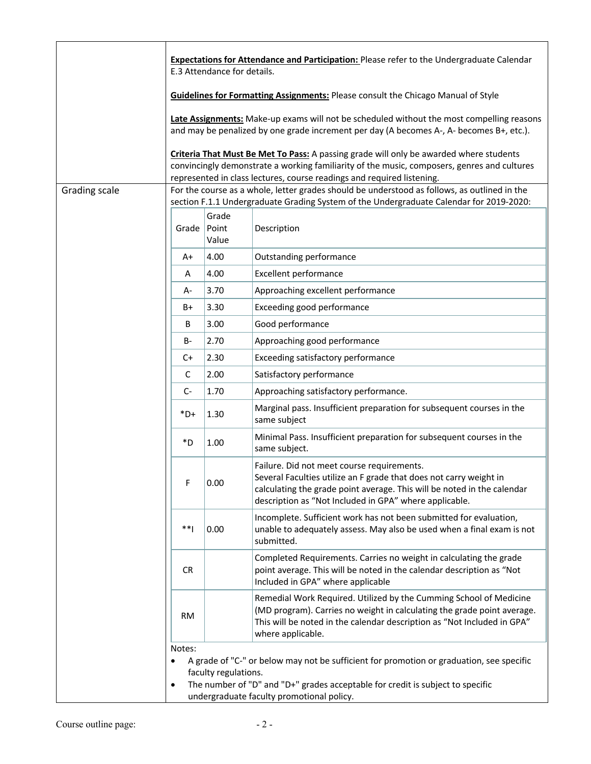|               |                                                                                                                                                                                         | E.3 Attendance for details. | <b>Expectations for Attendance and Participation:</b> Please refer to the Undergraduate Calendar                                                                                                                                                                       |  |
|---------------|-----------------------------------------------------------------------------------------------------------------------------------------------------------------------------------------|-----------------------------|------------------------------------------------------------------------------------------------------------------------------------------------------------------------------------------------------------------------------------------------------------------------|--|
|               |                                                                                                                                                                                         |                             | <b>Guidelines for Formatting Assignments: Please consult the Chicago Manual of Style</b>                                                                                                                                                                               |  |
|               |                                                                                                                                                                                         |                             | Late Assignments: Make-up exams will not be scheduled without the most compelling reasons<br>and may be penalized by one grade increment per day (A becomes A-, A- becomes B+, etc.).                                                                                  |  |
|               |                                                                                                                                                                                         |                             | <b>Criteria That Must Be Met To Pass:</b> A passing grade will only be awarded where students<br>convincingly demonstrate a working familiarity of the music, composers, genres and cultures<br>represented in class lectures, course readings and required listening. |  |
| Grading scale | For the course as a whole, letter grades should be understood as follows, as outlined in the<br>section F.1.1 Undergraduate Grading System of the Undergraduate Calendar for 2019-2020: |                             |                                                                                                                                                                                                                                                                        |  |
|               | Grade                                                                                                                                                                                   | Grade<br>Point<br>Value     | Description                                                                                                                                                                                                                                                            |  |
|               | A+                                                                                                                                                                                      | 4.00                        | Outstanding performance                                                                                                                                                                                                                                                |  |
|               | A                                                                                                                                                                                       | 4.00                        | <b>Excellent performance</b>                                                                                                                                                                                                                                           |  |
|               | А-                                                                                                                                                                                      | 3.70                        | Approaching excellent performance                                                                                                                                                                                                                                      |  |
|               | B+                                                                                                                                                                                      | 3.30                        | Exceeding good performance                                                                                                                                                                                                                                             |  |
|               | B                                                                                                                                                                                       | 3.00                        | Good performance                                                                                                                                                                                                                                                       |  |
|               | B-                                                                                                                                                                                      | 2.70                        | Approaching good performance                                                                                                                                                                                                                                           |  |
|               | C+                                                                                                                                                                                      | 2.30                        | Exceeding satisfactory performance                                                                                                                                                                                                                                     |  |
|               | C                                                                                                                                                                                       | 2.00                        | Satisfactory performance                                                                                                                                                                                                                                               |  |
|               | $C-$                                                                                                                                                                                    | 1.70                        | Approaching satisfactory performance.                                                                                                                                                                                                                                  |  |
|               | $*D+$                                                                                                                                                                                   | 1.30                        | Marginal pass. Insufficient preparation for subsequent courses in the<br>same subject                                                                                                                                                                                  |  |
|               | *D                                                                                                                                                                                      | 1.00                        | Minimal Pass. Insufficient preparation for subsequent courses in the<br>same subject.                                                                                                                                                                                  |  |
|               | F                                                                                                                                                                                       | 0.00                        | Failure. Did not meet course requirements.<br>Several Faculties utilize an F grade that does not carry weight in<br>calculating the grade point average. This will be noted in the calendar<br>description as "Not Included in GPA" where applicable.                  |  |
|               | $**1$                                                                                                                                                                                   | 0.00                        | Incomplete. Sufficient work has not been submitted for evaluation,<br>unable to adequately assess. May also be used when a final exam is not<br>submitted.                                                                                                             |  |
|               | CR.                                                                                                                                                                                     |                             | Completed Requirements. Carries no weight in calculating the grade<br>point average. This will be noted in the calendar description as "Not<br>Included in GPA" where applicable                                                                                       |  |
|               | <b>RM</b>                                                                                                                                                                               |                             | Remedial Work Required. Utilized by the Cumming School of Medicine<br>(MD program). Carries no weight in calculating the grade point average.<br>This will be noted in the calendar description as "Not Included in GPA"<br>where applicable.                          |  |
|               | Notes:<br>$\bullet$<br>٠                                                                                                                                                                | faculty regulations.        | A grade of "C-" or below may not be sufficient for promotion or graduation, see specific<br>The number of "D" and "D+" grades acceptable for credit is subject to specific<br>undergraduate faculty promotional policy.                                                |  |